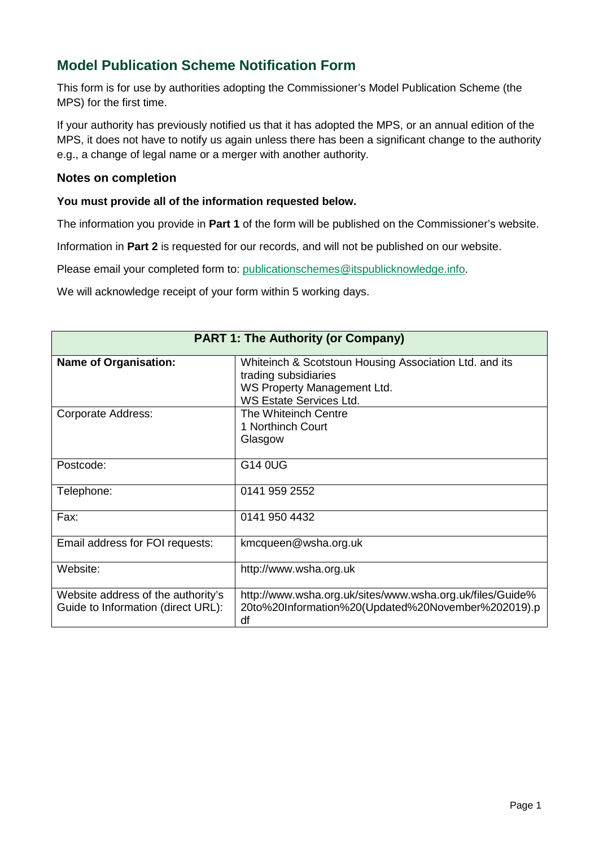## **Model Publication Scheme Notification Form**

This form is for use by authorities adopting the Commissioner's Model Publication Scheme (the MPS) for the first time.

If your authority has previously notified us that it has adopted the MPS, or an annual edition of the MPS, it does not have to notify us again unless there has been a significant change to the authority e.g., a change of legal name or a merger with another authority.

## **Notes on completion**

## **You must provide all of the information requested below.**

The information you provide in **Part 1** of the form will be published on the Commissioner's website.

Information in **Part 2** is requested for our records, and will not be published on our website.

Please email your completed form to: [publicationschemes@itspublicknowledge.info.](mailto:publicationschemes@itspublicknowledge.info)

We will acknowledge receipt of your form within 5 working days.

| <b>PART 1: The Authority (or Company)</b>                                |                                                                                                                                                 |  |
|--------------------------------------------------------------------------|-------------------------------------------------------------------------------------------------------------------------------------------------|--|
| <b>Name of Organisation:</b>                                             | Whiteinch & Scotstoun Housing Association Ltd. and its<br>trading subsidiaries<br>WS Property Management Ltd.<br><b>WS Estate Services Ltd.</b> |  |
| <b>Corporate Address:</b>                                                | The Whiteinch Centre<br>1 Northinch Court<br>Glasgow                                                                                            |  |
| Postcode:                                                                | G14 0UG                                                                                                                                         |  |
| Telephone:                                                               | 0141 959 2552                                                                                                                                   |  |
| Fax:                                                                     | 0141 950 4432                                                                                                                                   |  |
| Email address for FOI requests:                                          | kmcqueen@wsha.org.uk                                                                                                                            |  |
| Website:                                                                 | http://www.wsha.org.uk                                                                                                                          |  |
| Website address of the authority's<br>Guide to Information (direct URL): | http://www.wsha.org.uk/sites/www.wsha.org.uk/files/Guide%<br>20to%20Information%20(Updated%20November%202019).p<br>df                           |  |